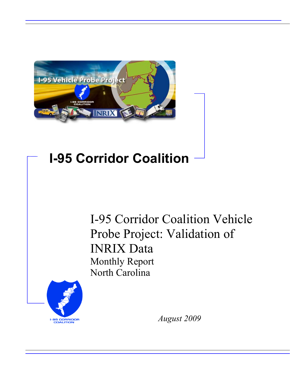

# **I-95 Corridor Coalition**

I-95 Corridor Coalition Vehicle Probe Project: Validation of INRIX Data Monthly Report North Carolina



*August 2009*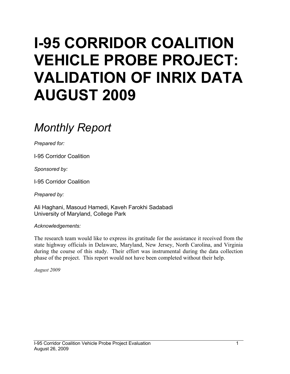# **I-95 CORRIDOR COALITION VEHICLE PROBE PROJECT: VALIDATION OF INRIX DATA AUGUST 2009**

# *Monthly Report*

*Prepared for:* 

I-95 Corridor Coalition

*Sponsored by:* 

I-95 Corridor Coalition

*Prepared by:* 

Ali Haghani, Masoud Hamedi, Kaveh Farokhi Sadabadi University of Maryland, College Park

*Acknowledgements:* 

The research team would like to express its gratitude for the assistance it received from the state highway officials in Delaware, Maryland, New Jersey, North Carolina, and Virginia during the course of this study. Their effort was instrumental during the data collection phase of the project. This report would not have been completed without their help.

*August 2009*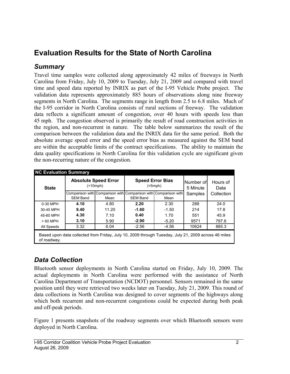## **Evaluation Results for the State of North Carolina**

### *Summary*

Travel time samples were collected along approximately 42 miles of freeways in North Carolina from Friday, July 10, 2009 to Tuesday, July 21, 2009 and compared with travel time and speed data reported by INRIX as part of the I-95 Vehicle Probe project. The validation data represents approximately 885 hours of observations along nine freeway segments in North Carolina. The segments range in length from 2.5 to 6.8 miles. Much of the I-95 corridor in North Carolina consists of rural sections of freeway. The validation data reflects a significant amount of congestion, over 40 hours with speeds less than 45 mph. The congestion observed is primarily the result of road construction activities in the region, and non-recurrent in nature. The table below summarizes the result of the comparison between the validation data and the INRIX data for the same period. Both the absolute average speed error and the speed error bias as measured against the SEM band are within the acceptable limits of the contract specifications. The ability to maintain the data quality specifications in North Carolina for this validation cycle are significant given the non-recurring nature of the congestion.

| <b>State</b>                                                                                                       |                 | <b>Absolute Speed Error</b><br>(        |                 | <b>Speed Error Bias</b><br>(5mph)       | Number of<br>5 Minute | Hours of<br>Data |  |  |
|--------------------------------------------------------------------------------------------------------------------|-----------------|-----------------------------------------|-----------------|-----------------------------------------|-----------------------|------------------|--|--|
|                                                                                                                    | <b>SEM Band</b> | Comparison with Comparison with<br>Mean | <b>SEM Band</b> | Comparison with Comparison with<br>Mean | Samples               | Collection       |  |  |
| 0-30 MPH                                                                                                           | 4.10            | 4.80                                    | 2.20            | 2.30                                    | 288                   | 24.0             |  |  |
| 30-45 MPH                                                                                                          | 9.40            | 11.20                                   | $-1.60$         | $-1.50$                                 | 214                   | 17.8             |  |  |
| 45-60 MPH                                                                                                          | 4.30            | 7.10                                    | 0.40            | 1.70                                    | 551                   | 45.9             |  |  |
| > 60 MPH                                                                                                           | 3.10            | 5.90                                    | $-2.90$         | $-5.20$                                 | 9571                  | 797.6            |  |  |
| All Speeds                                                                                                         | 3.32            | 6.04                                    | $-2.56$         | $-4.56$                                 | 10624                 | 885.3            |  |  |
| Based upon data collected from Friday, July 10, 2009 through Tuesday, July 21, 2009 across 46 miles<br>of roadway. |                 |                                         |                 |                                         |                       |                  |  |  |

### *Data Collection*

Bluetooth sensor deployments in North Carolina started on Friday, July 10, 2009. The actual deployments in North Carolina were performed with the assistance of North Carolina Department of Transportation (NCDOT) personnel. Sensors remained in the same position until they were retrieved two weeks later on Tuesday, July 21, 2009. This round of data collections in North Carolina was designed to cover segments of the highways along which both recurrent and non-recurrent congestions could be expected during both peak and off-peak periods.

Figure 1 presents snapshots of the roadway segments over which Bluetooth sensors were deployed in North Carolina.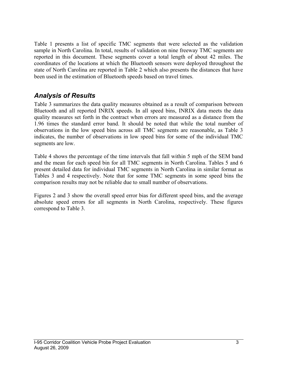Table 1 presents a list of specific TMC segments that were selected as the validation sample in North Carolina. In total, results of validation on nine freeway TMC segments are reported in this document. These segments cover a total length of about 42 miles. The coordinates of the locations at which the Bluetooth sensors were deployed throughout the state of North Carolina are reported in Table 2 which also presents the distances that have been used in the estimation of Bluetooth speeds based on travel times.

### *Analysis of Results*

Table 3 summarizes the data quality measures obtained as a result of comparison between Bluetooth and all reported INRIX speeds. In all speed bins, INRIX data meets the data quality measures set forth in the contract when errors are measured as a distance from the 1.96 times the standard error band. It should be noted that while the total number of observations in the low speed bins across all TMC segments are reasonable, as Table 3 indicates, the number of observations in low speed bins for some of the individual TMC segments are low.

Table 4 shows the percentage of the time intervals that fall within 5 mph of the SEM band and the mean for each speed bin for all TMC segments in North Carolina. Tables 5 and 6 present detailed data for individual TMC segments in North Carolina in similar format as Tables 3 and 4 respectively. Note that for some TMC segments in some speed bins the comparison results may not be reliable due to small number of observations.

Figures 2 and 3 show the overall speed error bias for different speed bins, and the average absolute speed errors for all segments in North Carolina, respectively. These figures correspond to Table 3.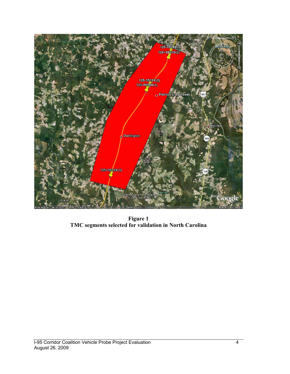

**Figure 1 TMC segments selected for validation in North Carolina**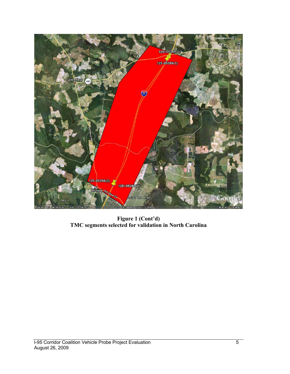

**Figure 1 (Cont'd) TMC segments selected for validation in North Carolina**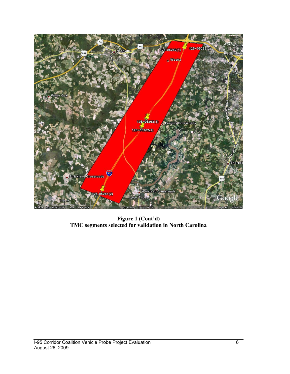

**Figure 1 (Cont'd) TMC segments selected for validation in North Carolina**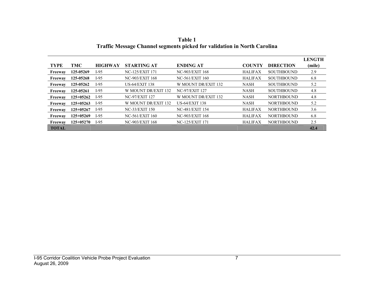|              |             |                |                       |                        |                |                   | <b>LENGTH</b> |
|--------------|-------------|----------------|-----------------------|------------------------|----------------|-------------------|---------------|
| <b>TYPE</b>  | TMC         | <b>HIGHWAY</b> | <b>STARTING AT</b>    | <b>ENDING AT</b>       | <b>COUNTY</b>  | <b>DIRECTION</b>  | (mile)        |
| Freeway      | 125-05269   | I-95           | NC-125/EXIT 171       | NC-903/EXIT 168        | <b>HALIFAX</b> | <b>SOUTHBOUND</b> | 2.9           |
| Freeway      | 125-05268   | I-95           | NC-903/EXIT 168       | NC-561/EXIT 160        | <b>HALIFAX</b> | <b>SOUTHBOUND</b> | 6.8           |
| Freeway      | 125-05262   | $I-95$         | <b>US-64/EXIT 138</b> | W MOUNT DR/EXIT 132    | <b>NASH</b>    | <b>SOUTHBOUND</b> | 5.2           |
| Freeway      | 125-05261   | I-95           | W MOUNT DR/EXIT 132   | <b>NC-97/EXIT 127</b>  | <b>NASH</b>    | <b>SOUTHBOUND</b> | 4.8           |
| Freeway      | 125+05262   | I-95           | <b>NC-97/EXIT 127</b> | W MOUNT DR/EXIT 132    | <b>NASH</b>    | <b>NORTHBOUND</b> | 4.8           |
| Freeway      | $125+05263$ | I-95           | W MOUNT DR/EXIT 132   | <b>US-64/EXIT 138</b>  | <b>NASH</b>    | <b>NORTHBOUND</b> | 5.2           |
| Freeway      | $125+05267$ | I-95           | <b>NC-33/EXIT 150</b> | <b>NC-481/EXIT 154</b> | <b>HALIFAX</b> | <b>NORTHBOUND</b> | 3.6           |
| Freeway      | 125+05269   | $I-95$         | NC-561/EXIT 160       | NC-903/EXIT 168        | <b>HALIFAX</b> | <b>NORTHBOUND</b> | 6.8           |
| Freeway      | $125+05270$ | I-95           | NC-903/EXIT 168       | NC-125/EXIT 171        | <b>HALIFAX</b> | <b>NORTHBOUND</b> | 2.5           |
| <b>TOTAL</b> |             |                |                       |                        |                |                   | 42.4          |

**Table 1 Traffic Message Channel segments picked for validation in North Carolina**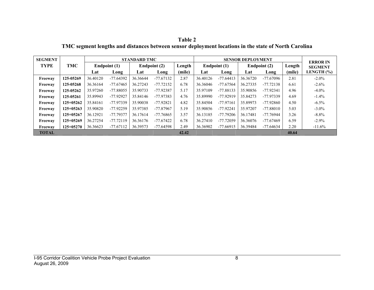**Table 2 TMC segment lengths and distances between sensor deployment locations in the state of North Carolina** 

| <b>SEGMENT</b> |             |          |              | <b>STANDARD TMC</b> |              |        | <b>SENSOR DEPLOYMENT</b> |              |          |              |        | <b>ERROR IN</b> |
|----------------|-------------|----------|--------------|---------------------|--------------|--------|--------------------------|--------------|----------|--------------|--------|-----------------|
| <b>TYPE</b>    | <b>TMC</b>  |          | Endpoint (1) |                     | Endpoint (2) | Length |                          | Endpoint (1) |          | Endpoint (2) | Length | <b>SEGMENT</b>  |
|                |             | Lat      | Long         | Lat                 | Long         | (mile) | Lat                      | Long         | Lat      | Long         | (mile) | LENGTH $(%)$    |
| Freeway        | 125-05269   | 36.40120 | $-77.64392$  | 36.36644            | $-77.67132$  | 2.87   | 36.40126                 | $-77.64413$  | 36.36720 | -77.67096    | 2.81   | $-2.0\%$        |
| Freeway        | 125-05268   | 36.36164 | $-77.67465$  | 36.27243            | $-77.72152$  | 6.78   | 36.36046                 | $-77.67564$  | 36.27335 | $-77.72138$  | 6.61   | $-2.6%$         |
| Freeway        | 125-05262   | 35.97260 | -77.88055    | 35.90733            | -77.92387    | 5.17   | 35.97109                 | $-77.88133$  | 35.90856 | $-77.92341$  | 4.96   | $-4.0\%$        |
| Freeway        | 125-05261   | 35.89943 | -77.92927    | 35.84146            | -77.97383    | 4.76   | 35.89990                 | $-77.92919$  | 35.84273 | -77.97339    | 4.69   | $-1.4\%$        |
| Freeway        | $125+05262$ | 35.84161 | -77.97339    | 35.90038            | $-77.92821$  | 4.82   | 35.84504                 | $-77.97161$  | 35.89973 | -77.92860    | 4.50   | $-6.5%$         |
| Freeway        | $125+05263$ | 35.90820 | -77.92259    | 35.97385            | -77.87967    | 5.19   | 35.90856                 | $-77.92241$  | 35.97207 | $-77.88010$  | 5.03   | $-3.0\%$        |
| Freeway        | 125+05267   | 36.12921 | -77.79377    | 36.17614            | -77.76865    | 3.57   | 36.13185                 | $-77.79206$  | 36.17481 | $-77.76944$  | 3.26   | $-8.8%$         |
| Freeway        | $125+05269$ | 36.27254 | $-77.72119$  | 36.36176            | -77.67422    | 6.78   | 36.27410                 | $-77.72059$  | 36.36076 | -77.67469    | 6.59   | $-2.9\%$        |
| Freeway        | $125+05270$ | 36.36623 | $-77.67112$  | 36.39573            | $-77.64598$  | 2.49   | 36.36902                 | $-77.66915$  | 36.39484 | -77.64634    | 2.20   | $-11.6%$        |
| <b>TOTAL</b>   |             |          |              |                     |              | 42.42  |                          |              |          |              | 40.64  |                 |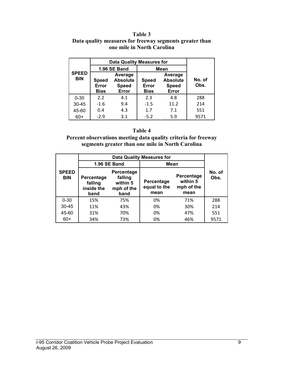#### **Table 3 Data quality measures for freeway segments greater than one mile in North Carolina**

|                            | <b>Data Quality Measures for</b> |                                                     |                                      |                                                     |                |  |
|----------------------------|----------------------------------|-----------------------------------------------------|--------------------------------------|-----------------------------------------------------|----------------|--|
|                            |                                  | 1.96 SE Band                                        | Mean                                 |                                                     |                |  |
| <b>SPEED</b><br><b>BIN</b> | <b>Speed</b><br>Error<br>Bias    | Average<br><b>Absolute</b><br><b>Speed</b><br>Error | <b>Speed</b><br>Error<br><b>Bias</b> | Average<br><b>Absolute</b><br><b>Speed</b><br>Error | No. of<br>Obs. |  |
| $0 - 30$                   | 2.2                              | 4.1                                                 | 2.3                                  | 4.8                                                 | 288            |  |
| $30 - 45$                  | $-1.6$                           | 9.4                                                 | $-1.5$                               | 11.2                                                | 214            |  |
| 45-60                      | 0.4                              | 4.3                                                 | 1.7                                  | 7.1                                                 | 551            |  |
| 60+                        | $-2.9$                           | 3.1                                                 | $-5.2$                               | 5.9                                                 | 9571           |  |

#### **Table 4**

**Percent observations meeting data quality criteria for freeway segments greater than one mile in North Carolina** 

|                            |                                                                                                        | 1.96 SE Band | Mean                               |                                              |                |  |
|----------------------------|--------------------------------------------------------------------------------------------------------|--------------|------------------------------------|----------------------------------------------|----------------|--|
| <b>SPEED</b><br><b>BIN</b> | Percentage<br>falling<br>Percentage<br>within 5<br>falling<br>inside the<br>mph of the<br>band<br>band |              | Percentage<br>equal to the<br>mean | Percentage<br>within 5<br>mph of the<br>mean | No. of<br>Obs. |  |
| $0 - 30$                   | 15%                                                                                                    | 75%          | 0%                                 | 71%                                          | 288            |  |
| $30 - 45$                  | 11%                                                                                                    | 43%          | 0%                                 | 30%                                          | 214            |  |
| 45-60                      | 31%                                                                                                    | 70%          | 0%                                 | 47%                                          | 551            |  |
| $60+$                      | 34%                                                                                                    | 73%          | 0%                                 | 46%                                          | 9571           |  |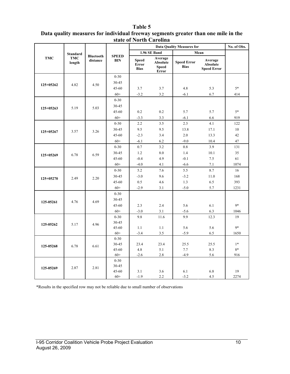#### **Table 5**

| Data quality measures for individual freeway segments greater than one mile in the |
|------------------------------------------------------------------------------------|
| state of North Carolina                                                            |

|            |                      |                              |                            | <b>Data Quality Measures for</b>     |                                                            |                                   |                                                  | No. of Obs. |
|------------|----------------------|------------------------------|----------------------------|--------------------------------------|------------------------------------------------------------|-----------------------------------|--------------------------------------------------|-------------|
|            | <b>Standard</b>      |                              |                            |                                      | 1.96 SE Band                                               |                                   | Mean                                             |             |
| <b>TMC</b> | <b>TMC</b><br>length | <b>Bluetooth</b><br>distance | <b>SPEED</b><br><b>BIN</b> | <b>Speed</b><br>Error<br><b>Bias</b> | Average<br><b>Absolute</b><br><b>Speed</b><br><b>Error</b> | <b>Speed Error</b><br><b>Bias</b> | Average<br><b>Absolute</b><br><b>Speed Error</b> |             |
|            |                      |                              | $0 - 30$                   |                                      |                                                            |                                   |                                                  |             |
| 125+05262  | 4.82                 | 4.50                         | 30-45                      |                                      |                                                            |                                   |                                                  |             |
|            |                      |                              | $45 - 60$                  | 3.7                                  | 3.7                                                        | 4.8                               | 5.3                                              | $5*$        |
|            |                      |                              | $60+$                      | $-3.2$                               | 3.2                                                        | $-6.1$                            | 6.7                                              | 414         |
|            |                      |                              | $0 - 30$                   |                                      |                                                            |                                   |                                                  |             |
| 125+05263  | 5.19                 | 5.03                         | 30-45                      |                                      |                                                            |                                   |                                                  |             |
|            |                      |                              | 45-60                      | 0.2                                  | 0.2                                                        | 5.7                               | 5.7                                              | $5*$        |
|            |                      |                              | $60+$                      | $-3.3$                               | 3.3                                                        | $-6.1$                            | 6.6                                              | 919         |
|            |                      |                              | $0 - 30$                   | 2.2                                  | 3.5                                                        | 2.3                               | 4.1                                              | 122         |
| 125+05267  | 3.57                 | 3.26                         | 30-45                      | 9.5                                  | 9.5                                                        | 13.8                              | 17.1                                             | 10          |
|            |                      |                              | $45 - 60$                  | $-2.3$                               | 3.4                                                        | 2.0                               | 13.3                                             | 42          |
|            |                      |                              | $60+$                      | $-6.1$                               | 6.2                                                        | $-9.0$                            | 10.4                                             | 47          |
|            | 6.78                 | 6.59                         | $0 - 30$                   | 0.7                                  | 3.2                                                        | 0.8                               | 3.9                                              | 131         |
| 125+05269  |                      |                              | $30 - 45$                  | 1.2                                  | 8.0                                                        | 1.4                               | 10.1                                             | 35          |
|            |                      |                              | 45-60                      | $-0.4$                               | 4.9                                                        | $-0.1$                            | 7.5                                              | 61          |
|            |                      |                              | $60+$                      | $-4.0$                               | 4.1                                                        | $-6.6$                            | 7.1                                              | 1074        |
| 125+05270  |                      | 2.20                         | $0 - 30$                   | 5.2                                  | 7.6                                                        | 5.5                               | 8.7                                              | 16          |
|            | 2.49                 |                              | 30-45                      | $-3.0$                               | 9.6                                                        | $-3.2$                            | 11.0                                             | 168         |
|            |                      |                              | 45-60                      | 0.5                                  | 4.6                                                        | 1.3                               | 6.5                                              | 393         |
|            |                      |                              | $60+$                      | $-2.9$                               | 3.1                                                        | $-5.0$                            | 5.7                                              | 1231        |
|            |                      |                              | $0 - 30$                   |                                      |                                                            |                                   |                                                  |             |
| 125-05261  | 4.76                 | 4.69                         | 30-45                      |                                      |                                                            |                                   |                                                  |             |
|            |                      |                              | $45 - 60$                  | 2.3                                  | 2.4                                                        | 5.6                               | 6.1                                              | $9*$        |
|            |                      |                              | $60+$                      | $-3.0$                               | 3.1                                                        | $-5.6$                            | 6.3                                              | 1046        |
|            |                      |                              | $0 - 30$                   | 9.8                                  | 11.6                                                       | 9.9                               | 12.3                                             | 19          |
| 125-05262  | 5.17                 | 4.96                         | 30-45                      |                                      |                                                            |                                   |                                                  |             |
|            |                      |                              | 45-60                      | 1.1                                  | 1.1                                                        | 5.6                               | 5.6                                              | 9*          |
|            |                      |                              | $60+$                      | $-3.4$                               | 3.5                                                        | $-5.9$                            | 6.5                                              | 1650        |
|            |                      |                              | $0 - 30$                   |                                      |                                                            |                                   |                                                  |             |
| 125-05268  | 6.78                 | 6.61                         | 30-45                      | 23.4                                 | 23.4                                                       | 25.5                              | 25.5                                             | $1*$        |
|            |                      |                              | $45 - 60$                  | 4.8                                  | 5.1                                                        | 7.7                               | 8.3                                              | $8*$        |
|            |                      |                              | $60+$<br>$0 - 30$          | $-2.6$                               | 2.8                                                        | $-4.9$                            | 5.6                                              | 916         |
|            |                      |                              | 30-45                      |                                      |                                                            |                                   |                                                  |             |
| 125-05269  | 2.87                 | 2.81                         | 45-60                      | 3.1                                  | 3.6                                                        | 6.1                               | 6.8                                              | 19          |
|            |                      |                              | $60+$                      | $-1.9$                               | 2.2                                                        | $-3.2$                            | 4.5                                              | 2274        |

\*Results in the specified row may not be reliable due to small number of observations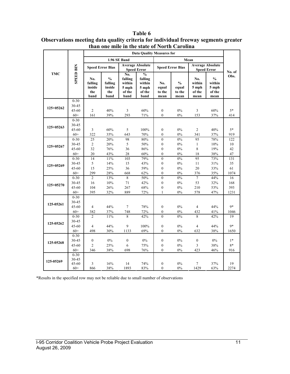|             |                  | than one mne m the state of fior th Carolina<br><b>Data Quality Measures for</b> |                                                   |                                                     |                                                               |                                |                                          |                                          |                                                    |         |  |
|-------------|------------------|----------------------------------------------------------------------------------|---------------------------------------------------|-----------------------------------------------------|---------------------------------------------------------------|--------------------------------|------------------------------------------|------------------------------------------|----------------------------------------------------|---------|--|
|             |                  |                                                                                  |                                                   | 1.96 SE Band                                        |                                                               |                                |                                          |                                          |                                                    |         |  |
|             |                  |                                                                                  |                                                   |                                                     |                                                               |                                | Mean<br><b>Average Absolute</b>          |                                          |                                                    |         |  |
|             |                  |                                                                                  | <b>Speed Error Bias</b>                           |                                                     | <b>Average Absolute</b><br><b>Speed Error</b>                 |                                | <b>Speed Error Bias</b>                  |                                          | <b>Speed Error</b>                                 | No. of  |  |
| <b>TMC</b>  | <b>SPEED BIN</b> | No.<br>falling<br>inside<br>the<br>band                                          | $\frac{0}{0}$<br>falling<br>inside<br>the<br>band | No.<br>falling<br>within<br>5 mph<br>of the<br>band | $\frac{0}{0}$<br>falling<br>within<br>5 mph<br>of the<br>band | No.<br>equal<br>to the<br>mean | $\frac{0}{0}$<br>equal<br>to the<br>mean | No.<br>within<br>5 mph<br>of the<br>mean | $\frac{0}{0}$<br>within<br>5 mph<br>of the<br>mean | Obs.    |  |
|             | $0 - 30$         |                                                                                  |                                                   |                                                     |                                                               |                                |                                          |                                          |                                                    |         |  |
| 125+05262   | 30-45            |                                                                                  |                                                   |                                                     |                                                               |                                |                                          |                                          |                                                    |         |  |
|             | 45-60            | $\overline{c}$                                                                   | 40%                                               | 3                                                   | 60%                                                           | $\boldsymbol{0}$               | $0\%$                                    | 3                                        | 60%                                                | $5*$    |  |
|             | $60+$            | 161                                                                              | 39%                                               | 293                                                 | 71%                                                           | $\mathbf{0}$                   | $0\%$                                    | 153                                      | 37%                                                | 414     |  |
|             | $0 - 30$         |                                                                                  |                                                   |                                                     |                                                               |                                |                                          |                                          |                                                    |         |  |
| $125+05263$ | 30-45<br>45-60   | 3                                                                                | 60%                                               | 5                                                   | 100%                                                          | $\mathbf{0}$                   | 0%                                       | 2                                        | 40%                                                | $5*$    |  |
|             | $60+$            | 322                                                                              | 35%                                               | 643                                                 | 70%                                                           | $\boldsymbol{0}$               | $0\%$                                    | 341                                      | 37%                                                | 919     |  |
|             | $0 - 30$         | 25                                                                               | 20%                                               | 98                                                  | 80%                                                           | $\overline{0}$                 | 0%                                       | 95                                       | 78%                                                | 122     |  |
|             | 30-45            | $\overline{c}$                                                                   | 20%                                               | 5                                                   | 50%                                                           | $\boldsymbol{0}$               | $0\%$                                    | $\mathbf{1}$                             | 10%                                                | 10      |  |
| $125+05267$ | $45 - 60$        | 32                                                                               | 76%                                               | 36                                                  | 86%                                                           | $\mathbf{0}$                   | 0%                                       | 8                                        | 19%                                                | 42      |  |
|             | $60+$            | 20                                                                               | 43%                                               | 28                                                  | 60%                                                           | $\overline{0}$                 | $0\%$                                    | 18                                       | 38%                                                | 47      |  |
|             | $0 - 30$         | 14                                                                               | 11%                                               | 103                                                 | 79%                                                           | $\overline{0}$                 | 0%                                       | 95                                       | 73%                                                | 131     |  |
|             | 30-45            | 5                                                                                | 14%                                               | 15                                                  | 43%                                                           | $\boldsymbol{0}$               | $0\%$                                    | 11                                       | 31%                                                | 35      |  |
| $125+05269$ | $45 - 60$        | 15                                                                               | 25%                                               | 36                                                  | 59%                                                           | $\mathbf{0}$                   | 0%                                       | 20                                       | 33%                                                | 61      |  |
|             | $60+$            | 299                                                                              | 28%                                               | 668                                                 | 62%                                                           | $\mathbf{0}$                   | $0\%$                                    | 376                                      | 35%                                                | 1074    |  |
|             | $0 - 30$         | $\overline{2}$                                                                   | 13%                                               | 8                                                   | 50%                                                           | $\overline{0}$                 | 0%                                       | $\overline{7}$                           | 44%                                                | 16      |  |
| 125+05270   | 30-45            | 16                                                                               | 10%                                               | 71                                                  | 42%                                                           | $\boldsymbol{0}$               | 0%                                       | 53                                       | 32%                                                | 168     |  |
|             | $45 - 60$        | 104                                                                              | 26%                                               | 267                                                 | 68%                                                           | $\boldsymbol{0}$               | $0\%$                                    | 210                                      | 53%                                                | 393     |  |
|             | $60+$            | 395                                                                              | 32%                                               | 889                                                 | 72%                                                           | $\mathbf{1}$                   | $0\%$                                    | 578                                      | 47%                                                | 1231    |  |
|             | $0 - 30$         |                                                                                  |                                                   |                                                     |                                                               |                                |                                          |                                          |                                                    |         |  |
| 125-05261   | 30-45            |                                                                                  |                                                   |                                                     |                                                               |                                |                                          |                                          |                                                    |         |  |
|             | $45 - 60$        | 4                                                                                | 44%                                               | $\overline{7}$                                      | 78%                                                           | $\boldsymbol{0}$               | 0%                                       | $\overline{4}$                           | 44%                                                | $9*$    |  |
|             | $60+$            | 382                                                                              | 37%                                               | 748                                                 | 72%                                                           | $\boldsymbol{0}$               | $0\%$                                    | 432                                      | 41%                                                | 1046    |  |
|             | $0 - 30$         | $\overline{2}$                                                                   | 11%                                               | 8                                                   | 42%                                                           | $\overline{0}$                 | 0%                                       | 8                                        | 42%                                                | 19      |  |
| 125-05262   | 30-45<br>45-60   | $\overline{4}$                                                                   | 44%                                               | 9                                                   | 100%                                                          | $\boldsymbol{0}$               | $0\%$                                    | $\overline{4}$                           | 44%                                                | $9*$    |  |
|             | $60+$            | 498                                                                              | 30%                                               | 1133                                                | 69%                                                           | $\theta$                       | $0\%$                                    | 632                                      | 38%                                                | 1650    |  |
|             | $0 - 30$         |                                                                                  |                                                   |                                                     |                                                               |                                |                                          |                                          |                                                    |         |  |
|             | 30-45            | $\overline{0}$                                                                   | 0%                                                | $\mathbf{0}$                                        | 0%                                                            | $\mathbf{0}$                   | 0%                                       | $\mathbf{0}$                             | 0%                                                 | $1*$    |  |
| 125-05268   | 45-60            | $\overline{c}$                                                                   | 25%                                               | 6                                                   | 75%                                                           | $\boldsymbol{0}$               | $0\%$                                    | 3                                        | 38%                                                | $8\ast$ |  |
|             | $60+$            | 346                                                                              | 38%                                               | 698                                                 | 76%                                                           | $\theta$                       | $0\%$                                    | 423                                      | 46%                                                | 916     |  |
|             | $0 - 30$         |                                                                                  |                                                   |                                                     |                                                               |                                |                                          |                                          |                                                    |         |  |
| 125-05269   | $30 - 45$        |                                                                                  |                                                   |                                                     |                                                               |                                |                                          |                                          |                                                    |         |  |
|             | 45-60            | 3                                                                                | 16%                                               | 14                                                  | 74%                                                           | $\boldsymbol{0}$               | 0%                                       | 7                                        | 37%                                                | 19      |  |
|             | $60+$            | 866                                                                              | 38%                                               | 1893                                                | 83%                                                           | $\boldsymbol{0}$               | 0%                                       | 1429                                     | 63%                                                | 2274    |  |

**Table 6 Observations meeting data quality criteria for individual freeway segments greater than one mile in the state of North Carolina** 

\*Results in the specified row may not be reliable due to small number of observations